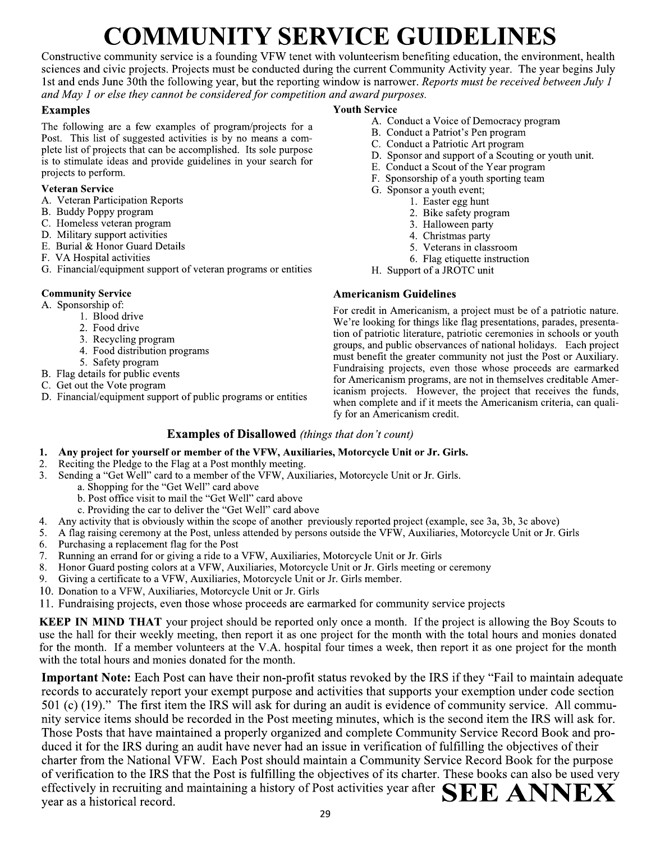# **COMMUNITY SERVICE GUIDELINES**

Constructive community service is a founding VFW tenet with volunteerism benefiting education, the environment, health sciences and civic projects. Projects must be conducted during the current Community Activity year. The year begins July 1st and ends June 30th the following year, but the reporting window is narrower. Reports must be received between July 1 and May 1 or else they cannot be considered for competition and award purposes.

#### **Examples**

The following are a few examples of program/projects for a Post. This list of suggested activities is by no means a complete list of projects that can be accomplished. Its sole purpose is to stimulate ideas and provide guidelines in your search for projects to perform.

#### **Veteran Service**

- A. Veteran Participation Reports
- B. Buddy Poppy program
- C. Homeless veteran program
- D. Military support activities
- E. Burial & Honor Guard Details
- F. VA Hospital activities
- G. Financial/equipment support of veteran programs or entities

#### **Community Service**

A. Sponsorship of:

1.

- 1. Blood drive
- 2. Food drive
- 3. Recycling program
- 4. Food distribution programs
- 5. Safety program
- B. Flag details for public events
- C. Get out the Vote program
- D. Financial/equipment support of public programs or entities

#### **Youth Service**

- A. Conduct a Voice of Democracy program
- B. Conduct a Patriot's Pen program
- C. Conduct a Patriotic Art program
- D. Sponsor and support of a Scouting or youth unit.
- E. Conduct a Scout of the Year program
- F. Sponsorship of a youth sporting team
- G. Sponsor a youth event;
	- 1. Easter egg hunt
		- 2. Bike safety program
		- 3. Halloween party
		- 4. Christmas party
		- 5. Veterans in classroom
		- 6. Flag etiquette instruction
- H. Support of a JROTC unit

#### **Americanism Guidelines**

For credit in Americanism, a project must be of a patriotic nature. We're looking for things like flag presentations, parades, presentation of patriotic literature, patriotic ceremonies in schools or youth groups, and public observances of national holidays. Each project must benefit the greater community not just the Post or Auxiliary. Fundraising projects, even those whose proceeds are earmarked for Americanism programs, are not in themselves creditable Americanism projects. However, the project that receives the funds, when complete and if it meets the Americanism criteria, can qualify for an Americanism credit.

#### **Examples of Disallowed** (things that don't count)

#### Any project for yourself or member of the VFW, Auxiliaries, Motorcycle Unit or Jr. Girls.

- Reciting the Pledge to the Flag at a Post monthly meeting. 2.
- Sending a "Get Well" card to a member of the VFW, Auxiliaries, Motorcycle Unit or Jr. Girls. 3.
	- a. Shopping for the "Get Well" card above
	- b. Post office visit to mail the "Get Well" card above
	- c. Providing the car to deliver the "Get Well" card above
- Any activity that is obviously within the scope of another previously reported project (example, see 3a, 3b, 3c above) 4.
- A flag raising ceremony at the Post, unless attended by persons outside the VFW, Auxiliaries, Motorcycle Unit or Jr. Girls 5.
- Purchasing a replacement flag for the Post 6.
- Running an errand for or giving a ride to a VFW, Auxiliaries, Motorcycle Unit or Jr. Girls  $7<sub>1</sub>$
- Honor Guard posting colors at a VFW, Auxiliaries, Motorcycle Unit or Jr. Girls meeting or ceremony 8.
- Giving a certificate to a VFW, Auxiliaries, Motorcycle Unit or Jr. Girls member. 9.
- 10. Donation to a VFW, Auxiliaries, Motorcycle Unit or Jr. Girls
- 11. Fundraising projects, even those whose proceeds are earmarked for community service projects

**KEEP IN MIND THAT** your project should be reported only once a month. If the project is allowing the Boy Scouts to use the hall for their weekly meeting, then report it as one project for the month with the total hours and monies donated for the month. If a member volunteers at the V.A. hospital four times a week, then report it as one project for the month with the total hours and monies donated for the month.

**Important Note:** Each Post can have their non-profit status revoked by the IRS if they "Fail to maintain adequate records to accurately report your exempt purpose and activities that supports your exemption under code section 501 (c) (19)." The first item the IRS will ask for during an audit is evidence of community service. All community service items should be recorded in the Post meeting minutes, which is the second item the IRS will ask for. Those Posts that have maintained a properly organized and complete Community Service Record Book and produced it for the IRS during an audit have never had an issue in verification of fulfilling the objectives of their charter from the National VFW. Each Post should maintain a Community Service Record Book for the purpose of verification to the IRS that the Post is fulfilling the objectives of its charter. These books can also be used very effectively in recruiting and maintaining a history of Post activities year after  $\mathbf{SEE} \mathbf{ANNEX}$ year as a historical record.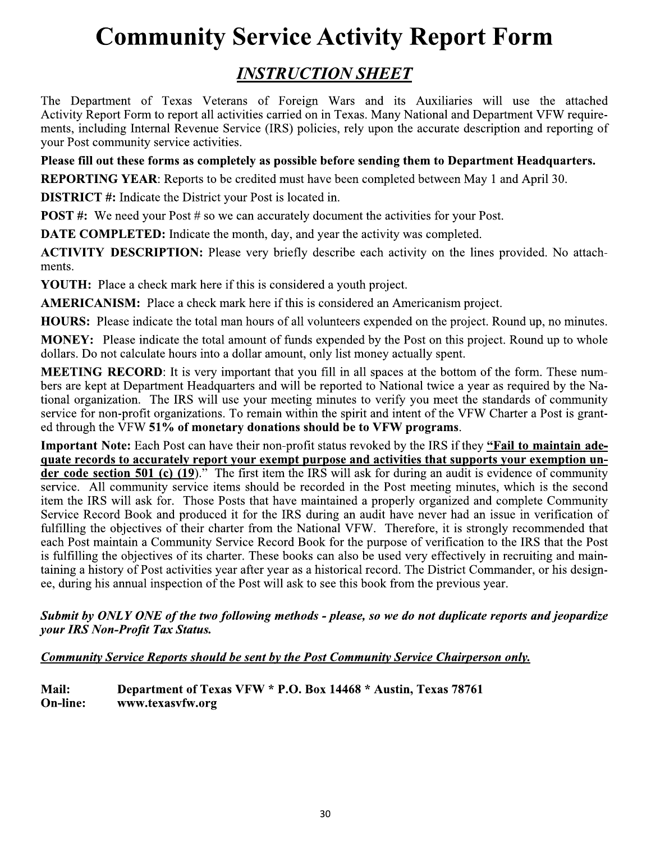## **Community Service Activity Report Form**

### **INSTRUCTION SHEET**

The Department of Texas Veterans of Foreign Wars and its Auxiliaries will use the attached Activity Report Form to report all activities carried on in Texas. Many National and Department VFW requirements, including Internal Revenue Service (IRS) policies, rely upon the accurate description and reporting of your Post community service activities.

Please fill out these forms as completely as possible before sending them to Department Headquarters.

**REPORTING YEAR:** Reports to be credited must have been completed between May 1 and April 30.

**DISTRICT**#: Indicate the District your Post is located in.

**POST** #: We need your Post # so we can accurately document the activities for your Post.

DATE COMPLETED: Indicate the month, day, and year the activity was completed.

**ACTIVITY DESCRIPTION:** Please very briefly describe each activity on the lines provided. No attachments.

**YOUTH:** Place a check mark here if this is considered a youth project.

**AMERICANISM:** Place a check mark here if this is considered an Americanism project.

HOURS: Please indicate the total man hours of all volunteers expended on the project. Round up, no minutes.

**MONEY:** Please indicate the total amount of funds expended by the Post on this project. Round up to whole dollars. Do not calculate hours into a dollar amount, only list money actually spent.

**MEETING RECORD:** It is very important that you fill in all spaces at the bottom of the form. These numbers are kept at Department Headquarters and will be reported to National twice a year as required by the National organization. The IRS will use your meeting minutes to verify you meet the standards of community service for non-profit organizations. To remain within the spirit and intent of the VFW Charter a Post is granted through the VFW 51% of monetary donations should be to VFW programs.

Important Note: Each Post can have their non-profit status revoked by the IRS if they "Fail to maintain adequate records to accurately report your exempt purpose and activities that supports your exemption under code section 501 (c)  $(19)$ ." The first item the IRS will ask for during an audit is evidence of community service. All community service items should be recorded in the Post meeting minutes, which is the second item the IRS will ask for. Those Posts that have maintained a properly organized and complete Community Service Record Book and produced it for the IRS during an audit have never had an issue in verification of fulfilling the objectives of their charter from the National VFW. Therefore, it is strongly recommended that each Post maintain a Community Service Record Book for the purpose of verification to the IRS that the Post is fulfilling the objectives of its charter. These books can also be used very effectively in recruiting and maintaining a history of Post activities year after year as a historical record. The District Commander, or his designee, during his annual inspection of the Post will ask to see this book from the previous year.

Submit by ONLY ONE of the two following methods - please, so we do not duplicate reports and jeopardize your IRS Non-Profit Tax Status.

#### Community Service Reports should be sent by the Post Community Service Chairperson only.

Mail: Department of Texas VFW \* P.O. Box 14468 \* Austin, Texas 78761 www.texasvfw.org **On-line:**